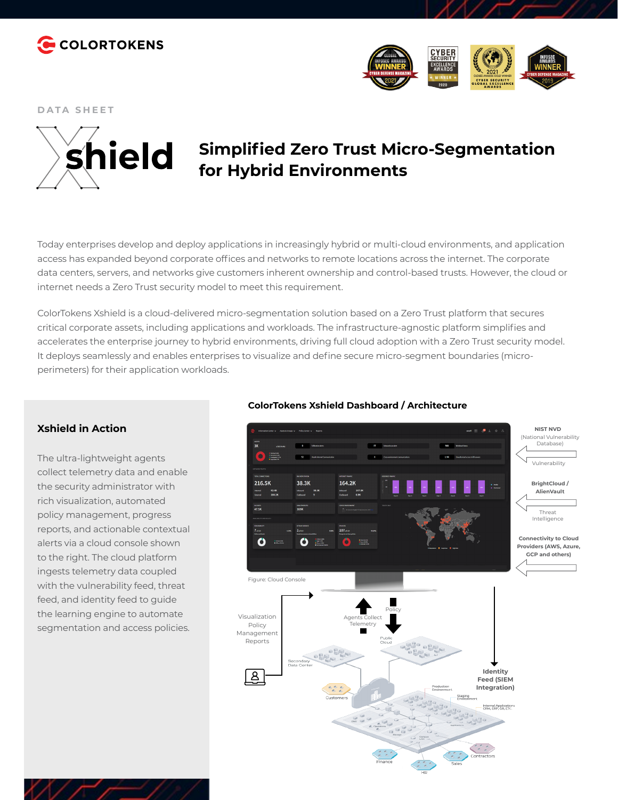



**DATA SHEET**



# **Simplified Zero Trust Micro-Segmentation for Hybrid Environments**

Today enterprises develop and deploy applications in increasingly hybrid or multi-cloud environments, and application access has expanded beyond corporate offices and networks to remote locations across the internet. The corporate data centers, servers, and networks give customers inherent ownership and control-based trusts. However, the cloud or internet needs a Zero Trust security model to meet this requirement.

ColorTokens Xshield is a cloud-delivered micro-segmentation solution based on a Zero Trust platform that secures critical corporate assets, including applications and workloads. The infrastructure-agnostic platform simplifies and accelerates the enterprise journey to hybrid environments, driving full cloud adoption with a Zero Trust security model. It deploys seamlessly and enables enterprises to visualize and define secure micro-segment boundaries (microperimeters) for their application workloads.

### **Xshield in Action**

The ultra-lightweight agents collect telemetry data and enable the security administrator with rich visualization, automated policy management, progress reports, and actionable contextual alerts via a cloud console shown to the right. The cloud platform ingests telemetry data coupled with the vulnerability feed, threat feed, and identity feed to guide the learning engine to automate segmentation and access policies.



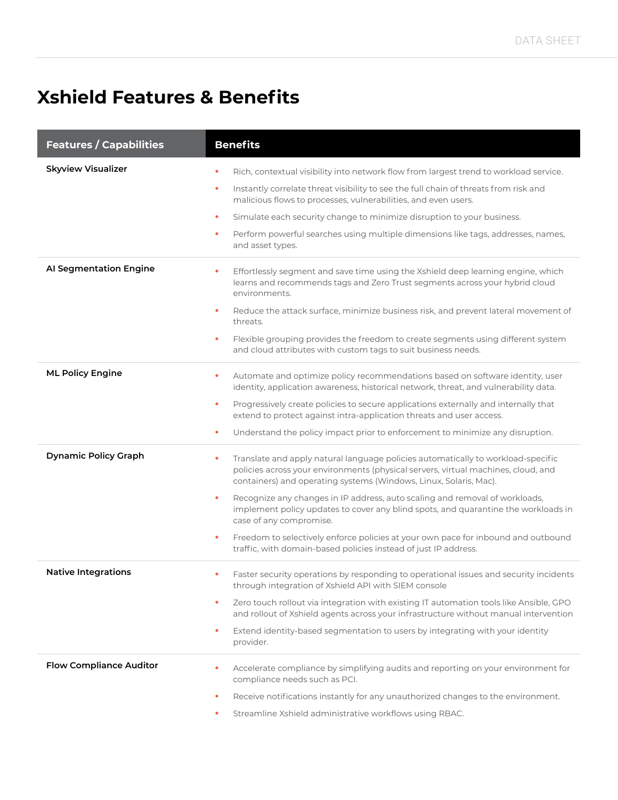# **Xshield Features & Benefits**

| <b>Features / Capabilities</b> | <b>Benefits</b>                                                                                                                                                                                                                                                                                                                                                                                                                                                                                                                                                                                                                   |
|--------------------------------|-----------------------------------------------------------------------------------------------------------------------------------------------------------------------------------------------------------------------------------------------------------------------------------------------------------------------------------------------------------------------------------------------------------------------------------------------------------------------------------------------------------------------------------------------------------------------------------------------------------------------------------|
| <b>Skyview Visualizer</b>      | Rich, contextual visibility into network flow from largest trend to workload service.<br>Instantly correlate threat visibility to see the full chain of threats from risk and<br>$\bullet$<br>malicious flows to processes, vulnerabilities, and even users.<br>Simulate each security change to minimize disruption to your business.<br>$\bullet$<br>Perform powerful searches using multiple dimensions like tags, addresses, names,<br>$\bullet$<br>and asset types.                                                                                                                                                          |
| Al Segmentation Engine         | Effortlessly segment and save time using the Xshield deep learning engine, which<br>$\bullet$<br>learns and recommends tags and Zero Trust segments across your hybrid cloud<br>environments.<br>Reduce the attack surface, minimize business risk, and prevent lateral movement of<br>$\bullet$<br>threats.<br>Flexible grouping provides the freedom to create segments using different system<br>$\bullet$<br>and cloud attributes with custom tags to suit business needs.                                                                                                                                                    |
| <b>ML Policy Engine</b>        | Automate and optimize policy recommendations based on software identity, user<br>٠<br>identity, application awareness, historical network, threat, and vulnerability data.<br>Progressively create policies to secure applications externally and internally that<br>$\bullet$<br>extend to protect against intra-application threats and user access.<br>Understand the policy impact prior to enforcement to minimize any disruption.<br>$\bullet$                                                                                                                                                                              |
| <b>Dynamic Policy Graph</b>    | Translate and apply natural language policies automatically to workload-specific<br>$\bullet$<br>policies across your environments (physical servers, virtual machines, cloud, and<br>containers) and operating systems (Windows, Linux, Solaris, Mac).<br>Recognize any changes in IP address, auto scaling and removal of workloads,<br>٠<br>implement policy updates to cover any blind spots, and quarantine the workloads in<br>case of any compromise.<br>Freedom to selectively enforce policies at your own pace for inbound and outbound<br>$\bullet$<br>traffic, with domain-based policies instead of just IP address. |
| <b>Native Integrations</b>     | Faster security operations by responding to operational issues and security incidents<br>$\bullet$<br>through integration of Xshield API with SIEM console<br>Zero touch rollout via integration with existing IT automation tools like Ansible, GPO<br>$\bullet$<br>and rollout of Xshield agents across your infrastructure without manual intervention<br>Extend identity-based segmentation to users by integrating with your identity<br>٠<br>provider.                                                                                                                                                                      |
| <b>Flow Compliance Auditor</b> | Accelerate compliance by simplifying audits and reporting on your environment for<br>compliance needs such as PCI.<br>Receive notifications instantly for any unauthorized changes to the environment.<br>٠<br>Streamline Xshield administrative workflows using RBAC.                                                                                                                                                                                                                                                                                                                                                            |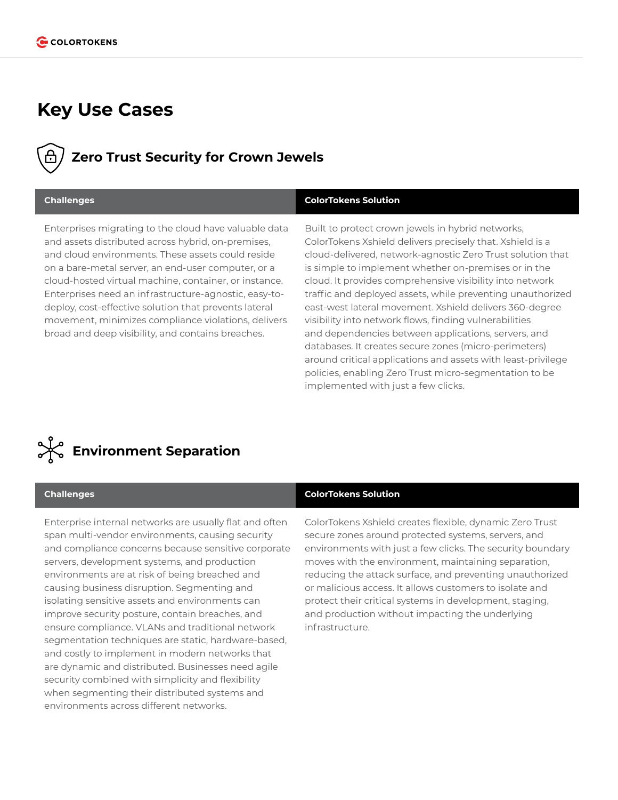## **Key Use Cases**

## **Zero Trust Security for Crown Jewels**

### **Challenges ColorTokens Solution**

Enterprises migrating to the cloud have valuable data and assets distributed across hybrid, on-premises, and cloud environments. These assets could reside on a bare-metal server, an end-user computer, or a cloud-hosted virtual machine, container, or instance. Enterprises need an infrastructure-agnostic, easy-todeploy, cost-effective solution that prevents lateral movement, minimizes compliance violations, delivers broad and deep visibility, and contains breaches.

Built to protect crown jewels in hybrid networks, ColorTokens Xshield delivers precisely that. Xshield is a cloud-delivered, network-agnostic Zero Trust solution that is simple to implement whether on-premises or in the cloud. It provides comprehensive visibility into network traffic and deployed assets, while preventing unauthorized east-west lateral movement. Xshield delivers 360-degree visibility into network flows, finding vulnerabilities and dependencies between applications, servers, and databases. It creates secure zones (micro-perimeters) around critical applications and assets with least-privilege policies, enabling Zero Trust micro-segmentation to be implemented with just a few clicks.



Enterprise internal networks are usually flat and often span multi-vendor environments, causing security and compliance concerns because sensitive corporate servers, development systems, and production environments are at risk of being breached and causing business disruption. Segmenting and isolating sensitive assets and environments can improve security posture, contain breaches, and ensure compliance. VLANs and traditional network segmentation techniques are static, hardware-based, and costly to implement in modern networks that are dynamic and distributed. Businesses need agile security combined with simplicity and flexibility when segmenting their distributed systems and environments across different networks.

### **Challenges ColorTokens Solution**

ColorTokens Xshield creates flexible, dynamic Zero Trust secure zones around protected systems, servers, and environments with just a few clicks. The security boundary moves with the environment, maintaining separation, reducing the attack surface, and preventing unauthorized or malicious access. It allows customers to isolate and protect their critical systems in development, staging, and production without impacting the underlying infrastructure.